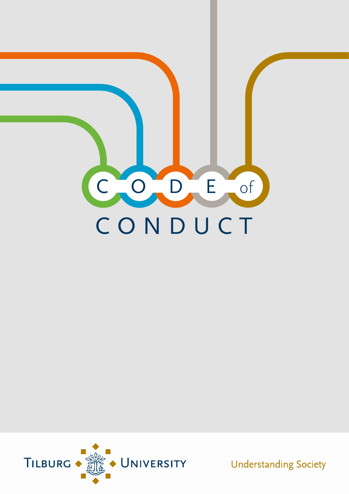



**Understanding Society**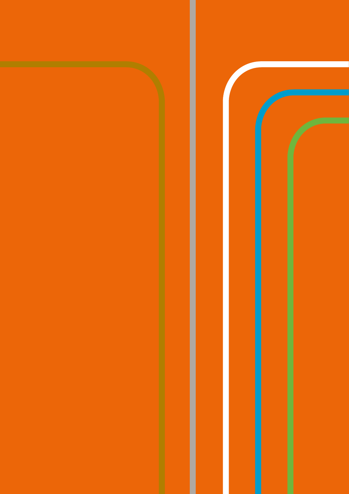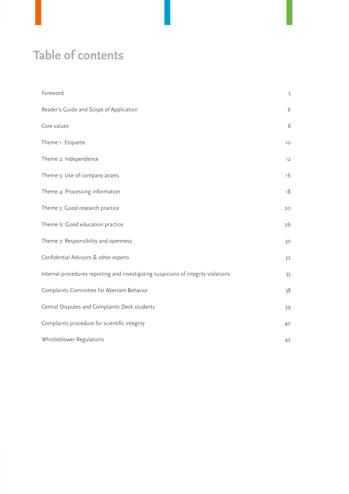# **Table of contents**

| Foreword                                                                           | 5              |
|------------------------------------------------------------------------------------|----------------|
| Reader's Guide and Scope of Application                                            | $6\,$          |
| Core values                                                                        | 8              |
| Theme 1: Etiquette                                                                 | 10             |
| Theme 2: Independence                                                              | 12             |
| Theme 3: Use of company assets                                                     | 16             |
| Theme 4: Processing information                                                    | 18             |
| Theme 5: Good research practice                                                    | 20             |
| Theme 6: Good education practice                                                   | 26             |
| Theme 7: Responsibility and openness                                               | 30             |
| Confidential Advisors & other experts                                              | 32             |
| Internal procedures reporting and investigating suspicions of integrity violations | 35             |
| Complaints Committee for Aberrant Behavior                                         | 38             |
| Central Disputes and Complaints Desk students                                      | 39             |
| Complaints procedure for scientific integrity                                      | 40             |
| Whistleblower Regulations                                                          | 4 <sup>2</sup> |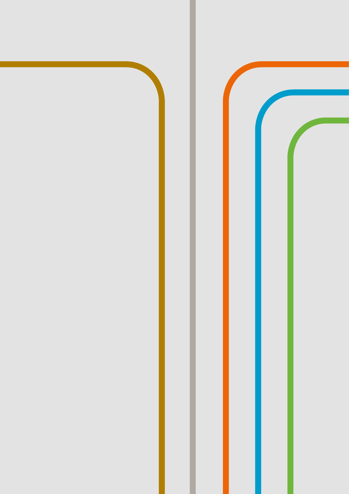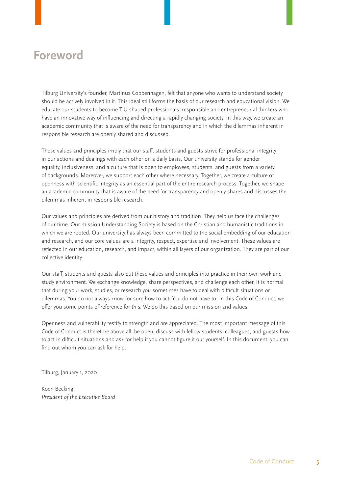# <span id="page-4-0"></span>**Foreword**

Tilburg University's founder, Martinus Cobbenhagen, felt that anyone who wants to understand society should be actively involved in it. This ideal still forms the basis of our research and educational vision. We educate our students to become TiU shaped professionals: responsible and entrepreneurial thinkers who have an innovative way of influencing and directing a rapidly changing society. In this way, we create an academic community that is aware of the need for transparency and in which the dilemmas inherent in responsible research are openly shared and discussed.

These values and principles imply that our staff, students and guests strive for professional integrity in our actions and dealings with each other on a daily basis. Our university stands for gender equality, inclusiveness, and a culture that is open to employees, students, and guests from a variety of backgrounds. Moreover, we support each other where necessary. Together, we create a culture of openness with scientific integrity as an essential part of the entire research process. Together, we shape an academic community that is aware of the need for transparency and openly shares and discusses the dilemmas inherent in responsible research.

Our values and principles are derived from our history and tradition. They help us face the challenges of our time. Our mission Understanding Society is based on the Christian and humanistic traditions in which we are rooted. Our university has always been committed to the social embedding of our education and research, and our core values are a integrity, respect, expertise and involvement. These values are reflected in our education, research, and impact, within all layers of our organization. They are part of our collective identity.

Our staff, students and guests also put these values and principles into practice in their own work and study environment. We exchange knowledge, share perspectives, and challenge each other. It is normal that during your work, studies, or research you sometimes have to deal with difficult situations or dilemmas. You do not always know for sure how to act. You do not have to. In this Code of Conduct, we offer you some points of reference for this. We do this based on our mission and values.

Openness and vulnerability testify to strength and are appreciated. The most important message of this Code of Conduct is therefore above all: be open, discuss with fellow students, colleagues, and guests how to act in difficult situations and ask for help if you cannot figure it out yourself. In this document, you can find out whom you can ask for help.

Tilburg, January 1, 2020

Koen Becking *President of the Executive Board*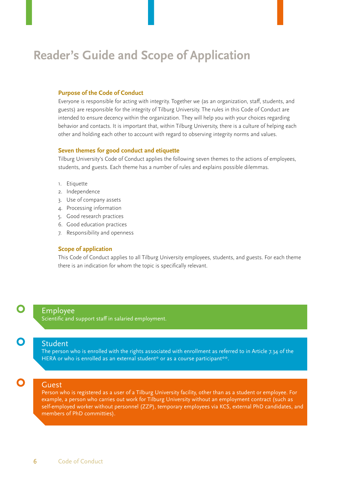# <span id="page-5-0"></span>**Reader's Guide and Scope of Application**

#### **Purpose of the Code of Conduct**

Everyone is responsible for acting with integrity. Together we (as an organization, staff, students, and guests) are responsible for the integrity of Tilburg University. The rules in this Code of Conduct are intended to ensure decency within the organization. They will help you with your choices regarding behavior and contacts. It is important that, within Tilburg University, there is a culture of helping each other and holding each other to account with regard to observing integrity norms and values.

#### **Zeven thema's over goed gedrag en omgangsvormen Seven themes for good conduct and etiquette**

Tilburg University's Code of Conduct applies the following seven themes to the actions of employees, students, and guests. Each theme has a number of rules and explains possible dilemmas.

- 1. Etiquette
- 2. Independence
- 3. Use of company assets
- 4. Processing information
- 5. Good research practices
- 5. Good research practices<br>6. Good education practices
- 7. Responsibility and openness

#### **Scope of application**

This Code of Conduct applies to all Tilburg University employees, students, and guests. For each theme there is an indication for whom the topic is specifically relevant.

 $\mathbf O$ 

## Employee

Scientific and support staff in salaried employment.

## **Student**

The person who is enrolled with the rights associated with enrollment as referred to in Article 7.34 of the HERA or who is enrolled as an external student\* or as a course participant\*\*.

#### Guest

Person who is registered as a user of a Tilburg University facility, other than as a student or employee. For example, a person who carries out work for Tilburg University without an employment contract (such as self-employed worker without personnel (ZZP), temporary employees via KCS, external PhD candidates, and members of PhD committies).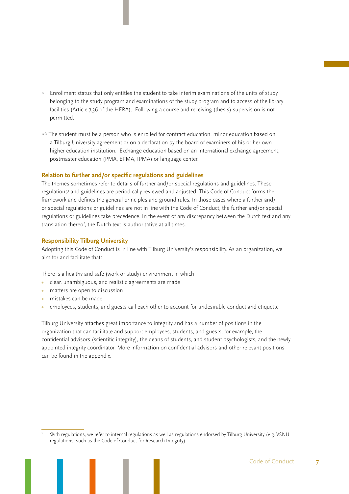- \* Enrollment status that only entitles the student to take interim examinations of the units of study belonging to the study program and examinations of the study program and to access of the library facilities (Article 7.36 of the HERA). Following a course and receiving (thesis) supervision is not permitted.
- \*\* The student must be a person who is enrolled for contract education, minor education based on a Tilburg University agreement or on a declaration by the board of examiners of his or her own higher education institution. Exchange education based on an international exchange agreement, postmaster education (PMA, EPMA, IPMA) or language center.

## **Relation to further and/or specific regulations and guidelines**

The themes sometimes refer to details of further and/or special regulations and guidelines. These regulations' and guidelines are periodically reviewed and adjusted. This Code of Conduct forms the framework and defines the general principles and ground rules. In those cases where a further and/ or special regulations or guidelines are not in line with the Code of Conduct, the further and/or special regulations or guidelines take precedence. In the event of any discrepancy between the Dutch text and any translation thereof, the Dutch text is authoritative at all times.

## **Responsibility Tilburg University**

Adopting this Code of Conduct is in line with Tilburg University's responsibility. As an organization, we aim for and facilitate that:

There is a healthy and safe (work or study) environment in which

- **•** clear, unambiguous, and realistic agreements are made
- **•** matters are open to discussion
- **•** mistakes can be made
- **•** employees, students, and guests call each other to account for undesirable conduct and etiquette

Tilburg University attaches great importance to integrity and has a number of positions in the organization that can facilitate and support employees, students, and guests, for example, the confidential advisors (scientific integrity), the deans of students, and student psychologists, and the newly appointed integrity coordinator. More information on confidential advisors and other relevant positions can be found in the appendix.

<sup>1</sup> With regulations, we refer to internal regulations as well as regulations endorsed by Tilburg University (e.g. VSNU regulations, such as the Code of Conduct for Research Integrity).

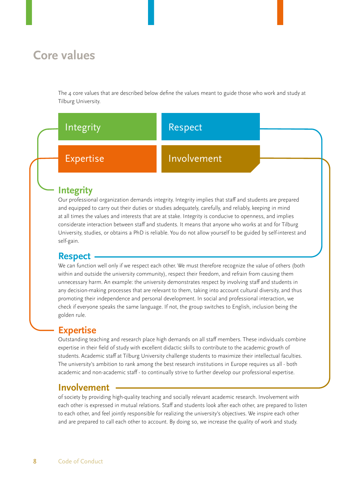# <span id="page-7-0"></span>**Core values**

The 4 core values that are described below define the values meant to guide those who work and study at Iedereen is zelf verantwoordelijk om integer te handelen. Met elkaar zijn wij (als organisatie, Tilburg University.

| Integrity        | Respect     |  |
|------------------|-------------|--|
| <b>Expertise</b> | Involvement |  |

# **Integrity**

Our professional organization demands integrity. Integrity implies that staff and students are prepared and equipped to carry out their duties or studies adequately, carefully, and reliably, keeping in mind at all times the values and interests that are at stake. Integrity is conducive to openness, and implies considerate interaction between staff and students. It means that anyone who works at and for Tilburg University, studies, or obtains a PhD is reliable. You do not allow yourself to be guided by self-interest and self-gain. Verantwoordelijkheid en openheid en openheid en openheid en openheid en openheid en openheid en ope

# **Respect** —

We can function well only if we respect each other. We must therefore recognize the value of others (both within and outside the university community), respect their freedom, and refrain from causing them unnecessary harm. An example: the university demonstrates respect by involving staff and students in any decision-making processes that are relevant to them, taking into account cultural diversity, and thus promoting their independence and personal development. In social and professional interaction, we check if everyone speaks the same language. If not, the group switches to English, inclusion being the golden rule.

# **Expertise**

Outstanding teaching and research place high demands on all staff members. These individuals combine expertise in their field of study with excellent didactic skills to contribute to the academic growth of students. Academic staff at Tilburg University challenge students to maximize their intellectual faculties. The university's ambition to rank among the best research institutions in Europe requires us all - both academic and non-academic staff - to continually strive to further develop our professional expertise.

# **Involvement**

of society by providing high-quality teaching and socially relevant academic research. Involvement with each other is expressed in mutual relations. Staff and students look after each other, are prepared to listen to each other, and feel jointly responsible for realizing the university's objectives. We inspire each other and are prepared to call each other to account. By doing so, we increase the quality of work and study.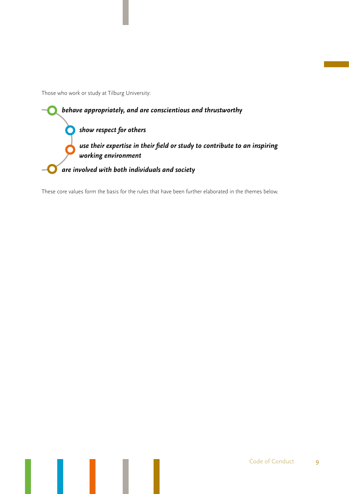Those who work or study at Tilburg University:

 *behave appropriately, and are conscientious and thrustworthy show respect for others use their expertise in their field or study to contribute to an inspiring working environment are involved with both individuals and society*

These core values form the basis for the rules that have been further elaborated in the themes below.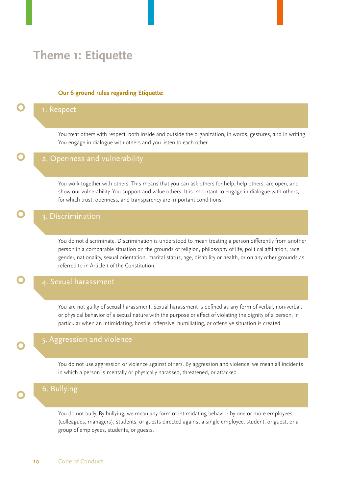# <span id="page-9-0"></span>**Theme 1: Etiquette**

### **Our 6 ground rules regarding Etiquette:**  $\blacksquare$

**Zeven thema's over goed gedrag en omgangsvormen**

#### medewerkers, studenten en gasten) verantwoordelijk voor de integriteit van Tilburg University. De regels 1. Respect

You treat others with respect, both inside and outside the organization, in words, gestures, and in writing. You engage in dialogue with others and you listen to each other.

keuzes in gedrag en omgang. Het is belangrijk dat er binnen Tilburg University een cultuur bestaat waarin

Iedereen is zelf verantwoordelijk om integer te handelen. Met elkaar zijn wij (als organisatie,

Elk thema kent een aantal spelregels en geeft een toelichting op mogelijke dilemma's.

# 2. Openness and vulnerability van Tilburg University handels and Tilburg University handels and tilburg University h

3. Gebruik van bedrijfsmiddelen

6. Goede onderwijspraktijken

show our vulnerability. You support and value others. It is important to engage in dialogue with others, for which trust, openness, and transparency are important conditions. You work together with others. This means that you can ask others for help, help others, are open, and

# 3. Discrimination

You do not discriminate. Discrimination is understood to mean treating a person differently from another gender, nationality, sexual orientation, marital status, age, disability or health, or on any other grounds as referred to in Article 1 of the Constitution. The mediator operator was the mediator of the University en gasten va person in a comparable situation on the grounds of religion, philosophy of life, political affiliation, race,

op situaties die verband hebben met werk of studie en/of activiteiten die plaatsvinden op de campus.

# 4. Sexual harassment voor wie dit onderwerp specifiek relevant is. In dit onderwerp specifiek relevant is.

You are not guilty of sexual harassment. Sexual harassment is defined as any form of verbal, non-verbal, or physical behavior of a sexual nature with the purpose or effect of violating the dignity of a person, in particular when an intimidating, hostile, offensive, humiliating, or offensive situation is created.

# 5. Aggression and violence

You do not use aggression or violence against others. By aggression and violence, we mean all incidents in which a person is mentally or physically harassed, threatened, or attacked.

# 6. Bullying

You do not bully. By bullying, we mean any form of intimidating behavior by one or more employees (colleagues, managers), students, or guests directed against a single employee, student, or guest, or a group of employees, students, or guests.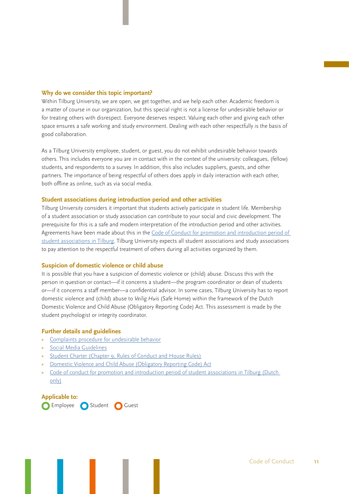## **Why do we consider this topic important?**

Within Tilburg University, we are open, we get together, and we help each other. Academic freedom is a matter of course in our organization, but this special right is not a license for undesirable behavior or for treating others with disrespect. Everyone deserves respect. Valuing each other and giving each other space ensures a safe working and study environment. Dealing with each other respectfully is the basis of good collaboration.

As a Tilburg University employee, student, or guest, you do not exhibit undesirable behavior towards others. This includes everyone you are in contact with in the context of the university: colleagues, (fellow) students, and respondents to a survey. In addition, this also includes suppliers, guests, and other partners. The importance of being respectful of others does apply in daily interaction with each other, both offline as online, such as via social media.

#### **Student associations during introduction period and other activities**

Tilburg University considers it important that students actively participate in student life. Membership of a student association or study association can contribute to your social and civic development. The prerequisite for this is a safe and modern interpretation of the introduction period and other activities. Agreements have been made about this in the [Code of Conduct for promotion and introduction period of](https://www.tilburguniversity.edu/uhttps://www.tilburguniversity.edu/upload/9fe66810-e665-4861-b009-43d6b683c608_Ondertekende%20gedragscode%2016-08-2018.pdf)  [student associations in Tilburg](https://www.tilburguniversity.edu/uhttps://www.tilburguniversity.edu/upload/9fe66810-e665-4861-b009-43d6b683c608_Ondertekende%20gedragscode%2016-08-2018.pdf). Tilburg University expects all student associations and study associations to pay attention to the respectful treatment of others during all activities organized by them.

#### **Suspicion of domestic violence or child abuse**

It is possible that you have a suspicion of domestic violence or (child) abuse. Discuss this with the person in question or contact—if it concerns a student—the program coordinator or dean of students or—if it concerns a staff member—a confidential advisor. In some cases, Tilburg University has to report domestic violence and (child) abuse to *Veilig Huis* (Safe Home) within the framework of the Dutch Domestic Violence and Child Abuse (Obligatory Reporting Code) Act. This assessment is made by the student psychologist or integrity coordinator.

### **Further details and guidelines**

- **•** [Complaints procedure for undesirable behavior](https://www.tilburguniversity.edu/students/studying/regulations/complaint-appeal/behavior)
- **•** [Social Media Guidelines](https://www.tilburguniversity.edu/sites/tiu/files/download/Tilburg%20University%20Social%20Media%20Guidelines_2.pdf)
- **•** [Student Charter \(Chapter 9, Rules of Conduct and House Rules\)](https://www.tilburguniversity.edu/students/studying/regulations/charter/rules-conduct)
- **•** [Domestic Violence and Child Abuse \(Obligatory Reporting Code\) Act](https://www.government.nl/topics/domestic-violence/domestic-violence-and-child-abuse-protocol)
- **•** [Code of conduct for promotion and introduction period of student associations in Tilburg \(Dutch](https://www.tilburguniversity.edu/sites/tiu/files/download/Ondertekende%20gedragscode%2016-08-2018_3.pdf)  [only\)](https://www.tilburguniversity.edu/sites/tiu/files/download/Ondertekende%20gedragscode%2016-08-2018_3.pdf)

# **Applicable to:**

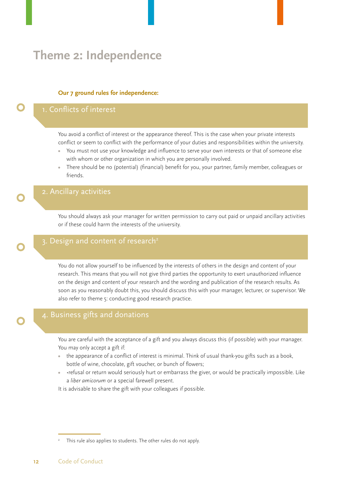# <span id="page-11-0"></span>**Theme 2: Independence**

### **Our 7 ground rules for independence:**

# medewerkers, studenten en gasten) verantwoordelijk voor de integriteit van Tilburg University. De regels 1. Conflicts of interest

You avoid a conflict of interest or the appearance thereof. This is the case when your private interests conflict or seem to conflict with the performance of your duties and responsibilities within the university.

keuzes in gedrag en omgang. Het is belangrijk dat er binnen Tilburg University een cultuur bestaat waarin

Iedereen is zelf verantwoordelijk om integer te handelen. Met elkaar zijn wij (als organisatie,

- You must not use your knowledge and influence to serve your own interests or that of someone else with whom or other organization in which you are personally involved.
- There should be no (potential) (financial) benefit for you, your partner, family member, colleagues or Elk thema kent een aantal spelregels en geeft en geeft een toelichting op mogelijke die op mogelijke die op mog friends.

# 2. Ancillary activities

You should always ask your manager for written permission to carry out paid or unpaid ancillary activities or if these could harm the interests of the university.

# 3. Design and content of research<sup>2</sup>

3. Gebruik van bedrijfsmiddelen

6. Goede onderwijspraktijken

**Toepassingsbereik**

You do not allow yourself to be influenced by the interests of others in the design and content of your research. This means that you will not give third parties the opportunity to exert unauthorized influence on the design and content of your research and the wording and publication of the research results. As soon as you reasonably doubt this, you should discuss this with your manager, lecturer, or supervisor. We also refer to theme 5: conducting good research practice.

# 4. Business gifts and donations

You are careful with the acceptance of a gift and you always discuss this (if possible) with your manager. You may only accept a gift if:

- **•** the appearance of a conflict of interest is minimal. Think of usual thank-you gifts such as a book, bottle of wine, chocolate, gift voucher, or bunch of flowers;
- **•** •refusal or return would seriously hurt or embarrass the giver, or would be practically impossible. Like a *liber amicorum* or a special farewell present.

It is advisable to share the gift with your colleagues if possible.

This rule also applies to students. The other rules do not apply.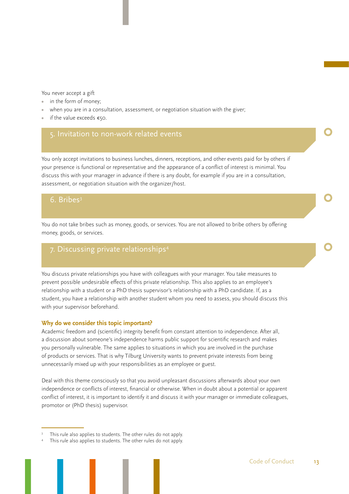You never accept a gift

- **•** in the form of money;
- **•** when you are in a consultation, assessment, or negotiation situation with the giver;
- **if the value exceeds €50.**

# 5. Invitation to non-work related events

You only accept invitations to business lunches, dinners, receptions, and other events paid for by others if your presence is functional or representative and the appearance of a conflict of interest is minimal. You discuss this with your manager in advance if there is any doubt, for example if you are in a consultation, assessment, or negotiation situation with the organizer/host.

# 6. Bribes3

You do not take bribes such as money, goods, or services. You are not allowed to bribe others by offering money, goods, or services.

# 7. Discussing private relationships4

You discuss private relationships you have with colleagues with your manager. You take measures to prevent possible undesirable effects of this private relationship. This also applies to an employee's relationship with a student or a PhD thesis supervisor's relationship with a PhD candidate. If, as a student, you have a relationship with another student whom you need to assess, you should discuss this with your supervisor beforehand.

#### **Why do we consider this topic important?**

Academic freedom and (scientific) integrity benefit from constant attention to independence. After all, a discussion about someone's independence harms public support for scientific research and makes you personally vulnerable. The same applies to situations in which you are involved in the purchase of products or services. That is why Tilburg University wants to prevent private interests from being unnecessarily mixed up with your responsibilities as an employee or guest.

Deal with this theme consciously so that you avoid unpleasant discussions afterwards about your own independence or conflicts of interest, financial or otherwise. When in doubt about a potential or apparent conflict of interest, it is important to identify it and discuss it with your manager or immediate colleagues, promotor or (PhD thesis) supervisor.

This rule also applies to students. The other rules do not apply.

This rule also applies to students. The other rules do not apply.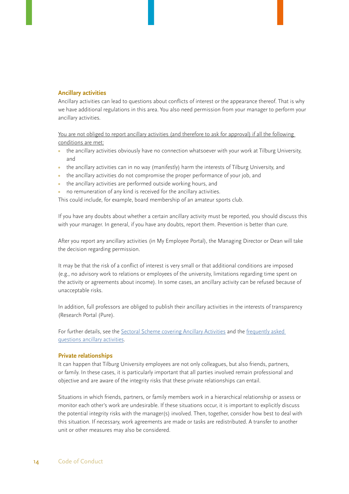## **Doel van Code Goed Gedrag en Omgangsvormen Ancillary activities**

Ancillary activities can lead to questions about conflicts of interest or the appearance thereof. That is why we have additional regulations in this area. You also need permission from your manager to perform your in deze Gedragscodeld om het fatsoen binnen deze borgen. Ze helpen je bij jouw was deze helpen je bij jouw op d

<u>You are not obliged to report ancillary activities (and therefore to ask for approval) if all the following</u> conditions are met:

- the ancillary activities obviously have no connection whatsoever with your work at Tilburg University, de Code Gedrag en Omgangsvormen (hierna: Gedragscode) van Tilburg University hanteert bij de Steedsmannen (hier<br>Gedragscode) van Tilburg University hanteert bij de Steedsmannen (hierdige University hanteert bij de Steedsma and
- the ancillary activities can in no way (manifestly) harm the interests of Tilburg University, and
- the ancillary activities do not compromise the proper performance of your job, and
- **•** the ancillary activities are performed outside working hours, and
- no remuneration of any kind is received for the ancillary activities.

This could include, for example, board membership of an amateur sports club.

If you have any doubts about whether a certain ancillary activity must be reported, you should discuss this with your manager. In general, if you have any doubts, report them. Prevention is better than cure.

After you report any ancillary activities (in My Employee Portal), the Managing Director or Dean will take the decision regarding permission.

It may be that the risk of a conflict of interest is very small or that additional conditions are imposed (e.g., no advisory work to relations or employees of the university, limitations regarding time spent on the activity or agreements about income). In some cases, an ancillary activity can be refused because of unacceptable risks.

In addition, full professors are obliged to publish their ancillary activities in the interests of transparency (Research Portal (Pure).

For further details, see the [Sectoral Scheme covering Ancillary Activities](https://www.tilburguniversity.edu/sites/tiu/files/download/Sectoral%20Scheme%20Ancillary%20Activities%202017_3.pdf) and the [frequently asked](https://www.tilburguniversity.edu/sites/tiu/files/download/Vragen%20en%20antwoorden%20nevenwerkzaamheden%2001-2018%20%28def%29_2.pdf)  [questions ancillary activities](https://www.tilburguniversity.edu/sites/tiu/files/download/Vragen%20en%20antwoorden%20nevenwerkzaamheden%2001-2018%20%28def%29_2.pdf).

## **Private relationships**

It can happen that Tilburg University employees are not only colleagues, but also friends, partners, or family. In these cases, it is particularly important that all parties involved remain professional and objective and are aware of the integrity risks that these private relationships can entail.

Situations in which friends, partners, or family members work in a hierarchical relationship or assess or monitor each other's work are undesirable. If these situations occur, it is important to explicitly discuss the potential integrity risks with the manager(s) involved. Then, together, consider how best to deal with this situation. If necessary, work agreements are made or tasks are redistributed. A transfer to another unit or other measures may also be considered.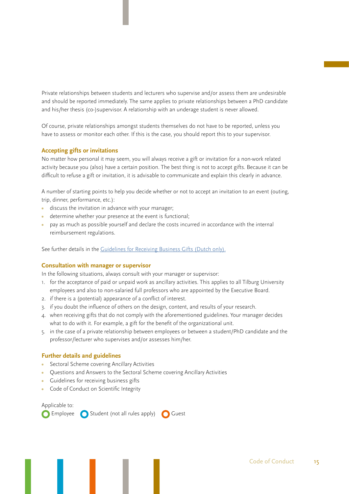Private relationships between students and lecturers who supervise and/or assess them are undesirable and should be reported immediately. The same applies to private relationships between a PhD candidate and his/her thesis (co-)supervisor. A relationship with an underage student is never allowed.

Of course, private relationships amongst students themselves do not have to be reported, unless you have to assess or monitor each other. If this is the case, you should report this to your supervisor.

## **Accepting gifts or invitations**

No matter how personal it may seem, you will always receive a gift or invitation for a non-work related activity because you (also) have a certain position. The best thing is not to accept gifts. Because it can be difficult to refuse a gift or invitation, it is advisable to communicate and explain this clearly in advance.

A number of starting points to help you decide whether or not to accept an invitation to an event (outing, trip, dinner, performance, etc.):

- **•** discuss the invitation in advance with your manager;
- **•** determine whether your presence at the event is functional;
- **•** pay as much as possible yourself and declare the costs incurred in accordance with the internal reimbursement regulations.

See further details in the [Guidelines for Receiving Business Gifts \(Dutch only\).](https://sso.uvt.nl/login?service=https%3A//www.tilburguniversity.edu/nl/casservice%3Freturnto%3Dhttps%253A//www.tilburguniversity.edu/nl/intranet/juridische-zaken/gedrag%253Fnocas%253D1)

#### **Consultation with manager or supervisor**

In the following situations, always consult with your manager or supervisor:

- 1. for the acceptance of paid or unpaid work as ancillary activities. This applies to all Tilburg University employees and also to non-salaried full professors who are appointed by the Executive Board.
- 2. if there is a (potential) appearance of a conflict of interest.
- 3. if you doubt the influence of others on the design, content, and results of your research.
- 4. when receiving gifts that do not comply with the aforementioned guidelines. Your manager decides what to do with it. For example, a gift for the benefit of the organizational unit.
- 5. in the case of a private relationship between employees or between a student/PhD candidate and the professor/lecturer who supervises and/or assesses him/her.

## **Further details and guidelines**

- **•** Sectoral Scheme covering Ancillary Activities
- **•** Questions and Answers to the Sectoral Scheme covering Ancillary Activities
- **•** Guidelines for receiving business gifts
- **•** Code of Conduct on Scientific Integrity

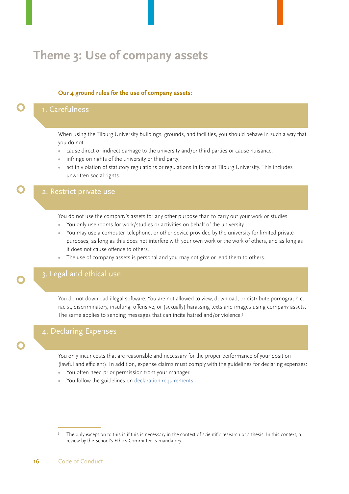# <span id="page-15-0"></span>**Theme 3: Use of company assets**

## **Our 4 ground rules for the use of company assets:**

# medewerkers, studenten en gasten) verantwoordelijk voor de integriteit van Tilburg University. De regels 1. Carefulness

When using the Tilburg University buildings, grounds, and facilities, you should behave in such a way that you do not

keuzes in gedrag en omgang. Het is belangrijk dat er binnen Tilburg University een cultuur bestaat waarin

• cause direct or indirect damage to the university and/or third parties or cause nuisance;

Iedereen is zelf verantwoordelijk om integer te handelen. Met elkaar zijn wij (als organisatie,

- infringe on rights of the university or third party; **Allahenage on Tilburg University on**  $\mathbf{C}$
- act in violation of statutory regulations or regulations in force at Tilburg University. This includes unwritten social rights. The mogelies en geeft en geeft een toelichting op mogelijke die mogelijke die op moge

# 2. Restrict private use

3. Gebruik van bedrijfsmiddelen

You do not use the company's assets for any other purpose than to carry out your work or studies.

- You only use rooms for work/studies or activities on behalf of the university.
- You may use a computer, telephone, or other device provided by the university for limited private purposes, as long as this does not interfere with your own work or the work of others, and as long as it does not cause offence to others.

Deze Gedragscode is van toepassing op alle medewerkers, studenten en gasten van Tilburg University en

• The use of company assets is personal and you may not give or lend them to others.

# op situaties die verband hebben met werk of studie en/of activiteiten die plaatsvinden op de campus. 3. Legal and ethical use

You do not download illegal software. You are not allowed to view, download, or distribute pornographic, racist, discriminatory, insulting, offensive, or (sexually) harassing texts and images using company assets. The same applies to sending messages that can incite hatred and/or violence.<sup>5</sup>

# 4. Declaring Expenses

You only incur costs that are reasonable and necessary for the proper performance of your position (lawful and efficient). In addition, expense claims must comply with the guidelines for declaring expenses:

- **•** You often need prior permission from your manager.
- **•** You follow the guidelines on [declaration requirements.](https://www.tilburguniversity.edu/intranet/hr/forms)

The only exception to this is if this is necessary in the context of scientific research or a thesis. In this context, a review by the School's Ethics Committee is mandatory.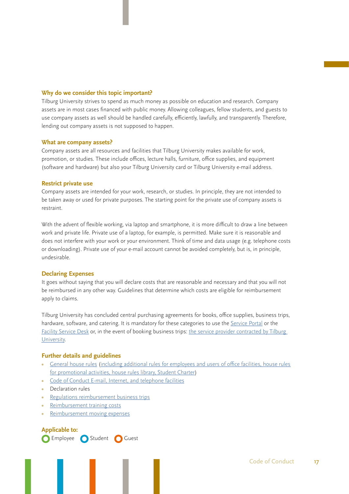## **Why do we consider this topic important?**

Tilburg University strives to spend as much money as possible on education and research. Company assets are in most cases financed with public money. Allowing colleagues, fellow students, and guests to use company assets as well should be handled carefully, efficiently, lawfully, and transparently. Therefore, lending out company assets is not supposed to happen.

#### **What are company assets?**

Company assets are all resources and facilities that Tilburg University makes available for work, promotion, or studies. These include offices, lecture halls, furniture, office supplies, and equipment (software and hardware) but also your Tilburg University card or Tilburg University e-mail address.

#### **Restrict private use**

Company assets are intended for your work, research, or studies. In principle, they are not intended to be taken away or used for private purposes. The starting point for the private use of company assets is restraint.

With the advent of flexible working, via laptop and smartphone, it is more difficult to draw a line between work and private life. Private use of a laptop, for example, is permitted. Make sure it is reasonable and does not interfere with your work or your environment. Think of time and data usage (e.g. telephone costs or downloading). Private use of your e-mail account cannot be avoided completely, but is, in principle, undesirable.

## **Declaring Expenses**

It goes without saying that you will declare costs that are reasonable and necessary and that you will not be reimbursed in any other way. Guidelines that determine which costs are eligible for reimbursement apply to claims.

Tilburg University has concluded central purchasing agreements for books, office supplies, business trips, hardware, software, and catering. It is mandatory for these categories to use the [Service Portal](https://servicedesk.uvt.nl/tas/public/ssp/) or the [Facility Service Desk](https://sso.uvt.nl/login?service=https%3A//www.tilburguniversity.edu/nl/casservice%3Freturnto%3Dhttps%253A//www.tilburguniversity.edu/nl/intranet/bestellen%253Fnocas%253D1) or, in the event of booking business trips: [the service provider contracted by Tilburg](https://sso.uvt.nl/login?service=https%3A//www.tilburguniversity.edu/nl/casservice%3Freturnto%3Dhttps%253A//www.tilburguniversity.edu/nl/intranet/bestellen/egencia%253Fnocas%253D1)  [University](https://sso.uvt.nl/login?service=https%3A//www.tilburguniversity.edu/nl/casservice%3Freturnto%3Dhttps%253A//www.tilburguniversity.edu/nl/intranet/bestellen/egencia%253Fnocas%253D1).

## **Further details and guidelines**

- **•** [General house rules](https://www.tilburguniversity.edu/house-rules
) ([including additional rules for employees and users of office facilities, house rules](https://www.tilburguniversity.edu/campus/university-library/about/house-rules)  [for promotional activities, house rules library, Student Charter](https://www.tilburguniversity.edu/campus/university-library/about/house-rules))
- **•** [Code of Conduct E-mail, Internet, and telephone facilities](https://www.tilburguniversity.edu/sites/default/files/download/email-telephone_2.pdf)
- **•** Declaration rules
- **•** [Regulations reimbursement business trips](https://www.tilburguniversity.edu/intranet/finance/businesstrips-declaring
)
- **•** [Reimbursement training costs](https://www.tilburguniversity.edu/intranet/hr/career/reimbursement-training
)
- **•** [Reimbursement moving expenses](https://www.tilburguniversity.edu/intranet/hr/moving-expenses
)

## **Applicable to:**

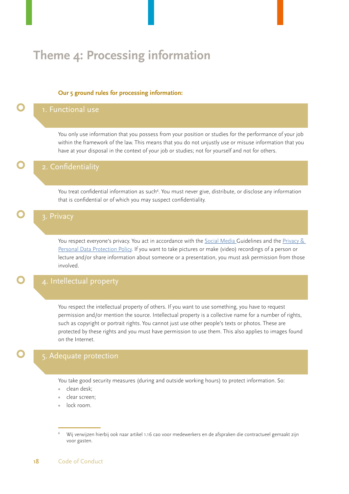# <span id="page-17-0"></span>**Theme 4: Processing information**

### **Our 5 ground rules for processing information:**

# medewerkers, studenten en gasten) verantwoordelijk voor de integriteit van Tilburg University. De regels van T

You only use information that you possess from your position or studies for the performance of your job have at your disposal in the context of your job or studies; not for yourself and not for others. within the framework of the law. This means that you do not unjustly use or misuse information that you

De Code Goed Gedrag en Omgangsvormen (hierna: Gedragscode) van Tilburg University hanteert bij de

keuzes in gedrag en omgang. Het is belangrijk dat er binnen Tilburg University een cultuur bestaat waarin

Iedereen is zelf verantwoordelijk om integer te handelen. Met elkaar zijn wij (als organisatie,

# uit Confidentiality van medewerkers, studenten en gasten en gasten onderstaande zeven toer van mede

You treat confidential information as such<sup>6</sup>. You must never give, distribute, or disclose any information that is confidential or of which you may suspect confidentiality.

# 4. Omgaan met informatie 3. Privacy

You respect everyone's privacy. You act in accordance with the <u>Social Media </u>Guidelines and the <u>Privacy  $\&$ </u> lecture and/or share information about someone or a presentation, you must ask permission from those Deze Gedragscode is van toepassing op alle medewerkers, studenten en gasten van Tilburg University en [Personal Data Protection Policy](https://www.tilburguniversity.edu/intranet/legal-affairs/privacy). If you want to take pictures or make (video) recordings of a person or involved.

op situaties die verband hebben met werk of studie en/of activiteiten die plaatsvinden op de campus.

# 4. Intellectual property wie dit onderwerp specifiek relevant is. Intellectual pro

3. Gebruik van bedrijfsmiddelen

6. Goede onderwijspraktijken

You respect the intellectual property of others. If you want to use something, you have to request permission and/or mention the source. Intellectual property is a collective name for a number of rights, such as copyright or portrait rights. You cannot just use other people's texts or photos. These are protected by these rights and you must have permission to use them. This also applies to images found on the Internet.

# 5. Adequate protection

You take good security measures (during and outside working hours) to protect information. So:

- **•** clean desk;
- **•** clear screen;
- **•** lock room.

<sup>6</sup> Wij verwijzen hierbij ook naar artikel 1.16 cao voor medewerkers en de afspraken die contractueel gemaakt zijn voor gasten.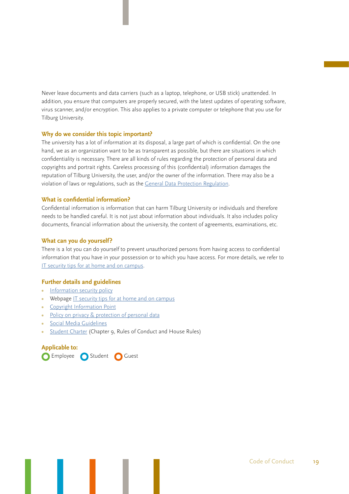Never leave documents and data carriers (such as a laptop, telephone, or USB stick) unattended. In addition, you ensure that computers are properly secured, with the latest updates of operating software, virus scanner, and/or encryption. This also applies to a private computer or telephone that you use for Tilburg University.

## **Why do we consider this topic important?**

The university has a lot of information at its disposal, a large part of which is confidential. On the one hand, we as an organization want to be as transparent as possible, but there are situations in which confidentiality is necessary. There are all kinds of rules regarding the protection of personal data and copyrights and portrait rights. Careless processing of this (confidential) information damages the reputation of Tilburg University, the user, and/or the owner of the information. There may also be a violation of laws or regulations, such as the [General Data Protection Regulation.](https://www.tilburguniversity.edu/intranet/legal-affairs/privacy)

## **What is confidential information?**

Confidential information is information that can harm Tilburg University or individuals and therefore needs to be handled careful. It is not just about information about individuals. It also includes policy documents, financial information about the university, the content of agreements, examinations, etc.

## **What can you do yourself?**

There is a lot you can do yourself to prevent unauthorized persons from having access to confidential information that you have in your possession or to which you have access. For more details, we refer to [IT security tips for at home and on campus](https://www.tilburguniversity.edu/students/it/alert-online).

## **Further details and guidelines**

- **•** [Information security policy](https://www.tilburguniversity.edu/sites/default/files/download/Informatiebeveiligingsbeleid%20Tilburg%20University%20%281%29%20%281%29.pdf)
- Webpage **IT** security tips for at home and on campus
- **•** [Copyright Information Point](https://www.tilburguniversity.edu/campus/university-library/writing-and-information-skills/copyright-information-point)
- **•** [Policy on privacy & protection of personal data](https://www.tilburguniversity.edu/intranet/legal-affairs/privacy)
- **•** [Social Media Guidelines](https://www.tilburguniversity.edu/sites/tiu/files/download/Tilburg University Social Media Guidelines_2.pdf)
- **•** [Student Charter](https://www.tilburguniversity.edu/students/studying/regulations/charter/rules-conduct) (Chapter 9, Rules of Conduct and House Rules)

# **Applicable to:** C Employee Student C Guest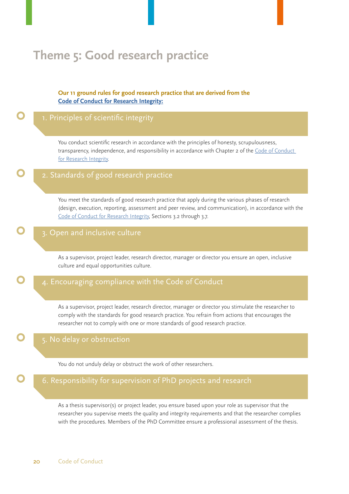# <span id="page-19-0"></span>**Theme 5: Good research practice**

# **Our 11 ground rules for good research practice that are derived from the <u>[Code of Conduct for Research Integrity:](https://www.tilburguniversity.edu/intranet/legal-affairs/conduct)</u> The set of**  $\alpha$  **organisation of**  $\alpha$  **or ganisaties, with**  $\alpha$  **or ganisation of**  $\alpha$  **or ganisation of**  $\alpha$  **or**  $\alpha$  **or**  $\alpha$  **or**  $\alpha$  **or**  $\alpha$  **or**  $\alpha$  **or**  $\alpha$  **or**  $\alpha$  **or**  $\alpha$  **or**  $\alpha$  **o**

# 1. Principles of scientific integrity and deze helpen je bij jouw om het fatsoen binnen de organisatie te borg

transparency, independence, and responsibility in accordance with Chapter 2 of the <u>Code of Conduct</u> for Research Integrity. Gedragscode is a Gedrag en Omganism of the University handels bij de states bij de states You conduct scientific research in accordance with the principles of honesty, scrupulousness,

uitwerking voor het handelen van medewerkers, studenten en gasten onderstaande zeven thema's.

we elkaar helpen en elkaar aanspreken op het naleven van normen en waarden omtrent integriteit.

medewerkers, studenten en gasten) verantwoordelijk voor de integriteit van Tilburg University. De regels

# 2. Standards of good research practice and toelichting op mogelies op mogeli

You meet the standards of good research practice that apply during the various phases of research (design, execution, reporting, assessment and peer review, and communication), in accordance with the [Code of Conduct for Research Integrity,](https://www.tilburguniversity.edu/intranet/legal-affairs/conduct) Sections 3.2 through 3.7.

# 3. Open and inclusive culture

5. Goede onderzoekspraktijken

1. Omgangsvormen

As a supervisor, project leader, research director, manager or director you ensure an open, inclusive Deze Gedragscode is van toepassing op alle medewerkers, studenten en gasten van Tilburg University en culture and equal opportunities culture.

op situaties die verband hebben met werk of studie en/of activiteiten die plaatsvinden op de campus.

# 4. Encouraging compliance with the Code of Conduct  $\,$

As a supervisor, project leader, research director, manager or director you stimulate the researcher to comply with the standards for good research practice. You refrain from actions that encourages the researcher not to comply with one or more standards of good research practice.

# 5. No delay or obstruction

You do not unduly delay or obstruct the work of other researchers.

# 6. Responsibility for supervision of PhD projects and research

As a thesis supervisor(s) or project leader, you ensure based upon your role as supervisor that the researcher you supervise meets the quality and integrity requirements and that the researcher complies with the procedures. Members of the PhD Committee ensure a professional assessment of the thesis.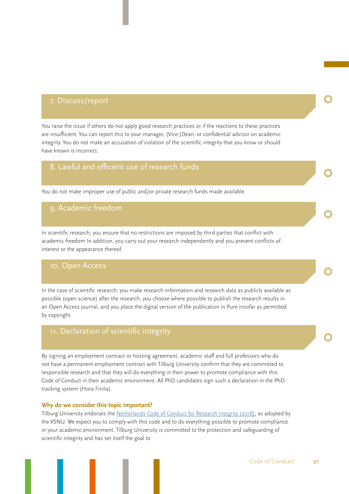# 7. Discuss/report

You raise the issue if others do not apply good research practices or if the reactions to these practices are insufficient. You can report this to your manager, (Vice-)Dean, or confidential advisor on academic integrity. You do not make an accusation of violation of the scientific integrity that you know or should have known is incorrect.

# 8. Lawful and efficient use of research funds

You do not make improper use of public and/or private research funds made available.

# 9. Academic freedom

In scientific research, you ensure that no restrictions are imposed by third parties that conflict with academic freedom In addition, you carry out your research independently and you prevent conflicts of interest or the appearance thereof.

# 10. Open Access

In the case of scientific research, you make research information and research data as publicly available as possible (open science) after the research, you choose where possible to publish the research results in an Open Access journal, and you place the digital version of the publication in Pure insofar as permitted by copyright.

# 11. Declaration of scientific integrity

By signing an employment contract or hosting agreement, academic staff and full professors who do not have a permanent employment contract with Tilburg University confirm that they are committed to responsible research and that they will do everything in their power to promote compliance with this Code of Conduct in their academic environment. All PhD candidates sign such a declaration in the PhD tracking system (Hora Finita).

#### **Why do we consider this topic important?**

Tilburg University endorses the [Netherlands Code of Conduct for Research Integrity \(2018\),](https://www.vsnu.nl/en_GB/research-integrity) as adopted by the VSNU. We expect you to comply with this code and to do everything possible to promote compliance in your academic environment. Tilburg University is committed to the protection and safeguarding of scientific integrity and has set itself the goal to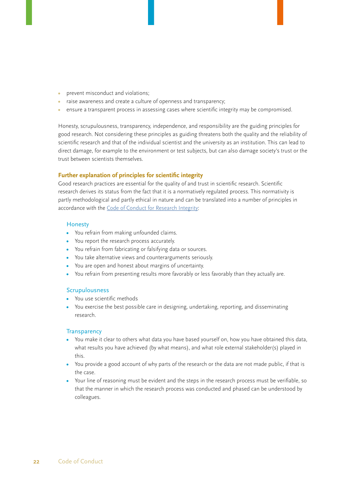- prevent misconduct and violations;
- raise awareness and create a culture of openness and transparency;
- ensure a transparent process in assessing cases where scientific integrity may be compromised.

Honesty, scrupulousness, transparency, independence, and responsibility are the guiding principles for good research. Not considering these principles as guiding threatens both the quality and the reliability of direct damage, for example to the environment or test subjects, but can also damage society's trust or the trust between scientists themselves. The code of the structure bij de trust between scientists themselves. scientific research and that of the individual scientist and the university as an institution. This can lead to

## Further explanation of principles for scientific integrity

research derives its status from the fact that it is a normatively regulated process. This normativity is partly methodological and partly ethical in nature and can be translated into a number of principles in accordance with the <u>Code of Conduct for Research Integrity</u>: Good research practices are essential for the quality of and trust in scientific research. Scientific

## Honesty **Exercise on the Struck Struck**

- You refrain from making unfounded claims.
- You report the research process accurately.
	- **•** You refrain from fabricating or falsifying data or sources.
- You take alternative views and counterarguments seriously.
- You are open and honest about margins of uncertainty.
- You refrain from presenting results more favorably or less favorably than they actually are.

#### Scrupulousness

- **•** You use scientific methods
- **•** You exercise the best possible care in designing, undertaking, reporting, and disseminating research.

#### **Transparency**

- **•** You make it clear to others what data you have based yourself on, how you have obtained this data, what results you have achieved (by what means), and what role external stakeholder(s) played in this.
- **•** You provide a good account of why parts of the research or the data are not made public, if that is the case.
- **•** Your line of reasoning must be evident and the steps in the research process must be verifiable, so that the manner in which the research process was conducted and phased can be understood by colleagues.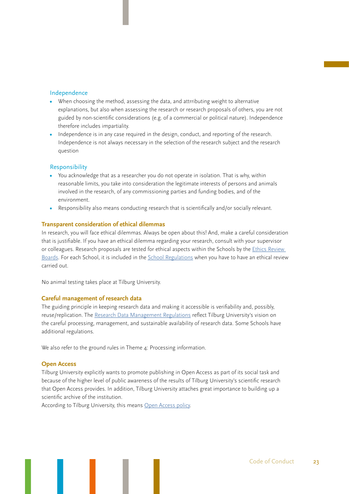### Independence

- **•** When choosing the method, assessing the data, and attrributing weight to alternative explanations, but also when assessing the research or research proposals of others, you are not guided by non-scientific considerations (e.g. of a commercial or political nature). Independence therefore includes impartiality.
- Independence is in any case required in the design, conduct, and reporting of the research. Independence is not always necessary in the selection of the research subject and the research question

#### Responsibility

- **•** You acknowledge that as a researcher you do not operate in isolation. That is why, within reasonable limits, you take into consideration the legitimate interests of persons and animals involved in the research, of any commissioning parties and funding bodies, and of the environment.
- **•** Responsibility also means conducting research that is scientifically and/or socially relevant.

### **Transparent consideration of ethical dilemmas**

In research, you will face ethical dilemmas. Always be open about this! And, make a careful consideration that is justifiable. If you have an ethical dilemma regarding your research, consult with your supervisor or colleagues. Research proposals are tested for ethical aspects within the Schools by the Ethics Review Boards. For each School, it is included in the School Regulations when you have to have an ethical review carried out.

No animal testing takes place at Tilburg University.

## **Careful management of research data**

The guiding principle in keeping research data and making it accessible is verifiability and, possibly, reuse/replication. The [Research Data Management Regulations](https://www.tilburguniversity.edu/sites/tiu/files/download/Vertaling Regeling onderzoeksdatamanagement %28Jan2019%29_2.pdf) reflect Tilburg University's vision on the careful processing, management, and sustainable availability of research data. Some Schools have additional regulations.

We also refer to the ground rules in Theme 4: Processing information.

#### **Open Access**

Tilburg University explicitly wants to promote publishing in Open Access as part of its social task and because of the higher level of public awareness of the results of Tilburg University's scientific research that Open Access provides. In addition, Tilburg University attaches great importance to building up a scientific archive of the institution.

According to Tilburg University, this means Open Access policy.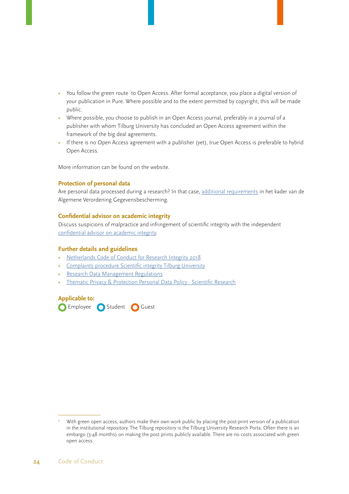- You follow the green route to Open Access. After formal acceptance, you place a digital version of your publication in Pure. Where possible and to the extent permitted by copyright, this will be made medelijk voor de integriteit van gasten) verantwoordelijk voor de integriteit van Tilburg University. De regels public.
- Where possible, you choose to publish in an Open Access journal, preferably in a journal of a publisher with whom Tilburg University has concluded an Open Access agreement within the framework of the big deal agreements.
- **Zeven thema's over goed gedrag en omgangsvormen** Open Access. **•** If there is no Open Access agreement with a publisher (yet), true Open Access is preferable to hybrid

More information can be found on the website.

## **Protection of personal data**

Are personal data processed during a research? In that case, <u>additional requirements</u> in het kader van de Algemene Verordening Gegevensbescherming.

### 4. Omgaan met informatie **Confidential advisor on academic integrity**

Discuss suspicions of malpractice and infringement of scientific integrity with the independent [confidential advisor on academic integrity.](https://www.tilburguniversity.edu/about/conduct-and-integrity/confidential-advisor)

## **Further details and guidelines**

- **•** [Netherlands Code of Conduct for Research Integrity 201](https://www.vsnu.nl/files/documents/Netherlands Code of Conduct for Research Integrity 2018.pdf)8
- Complaints procedure Scientific integrity Tilburg University
- Research Data Management Regulations
- [Thematic Privacy & Protection Personal Data Policy Scientific Research](https://www.tilburguniversity.edu/sites/tiu/files/download/Thematic Policy RESEARCH. 21-06-2018_2.pdf)

### **Applicable to:**



With green open access, authors make their own work public by placing the post-print version of a publication in the institutional repository. The Tilburg repository is the Tilburg University Research Porta. Often there is an embargo (3-48 months) on making the post prints publicly available. There are no costs associated with green open access.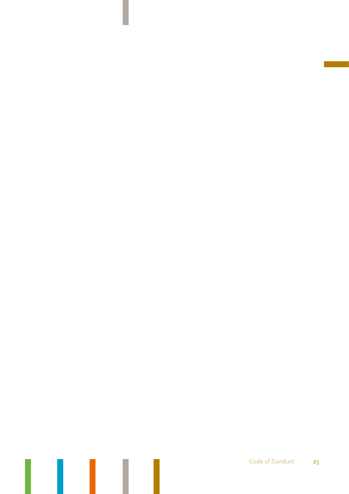

. . . . .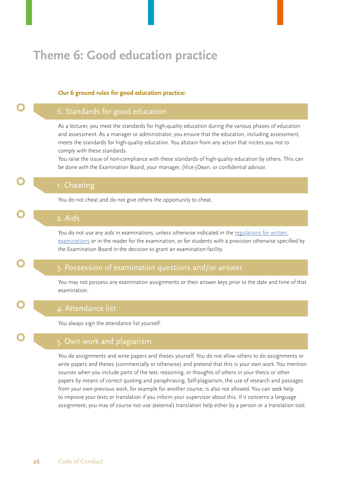# <span id="page-25-0"></span>**Theme 6: Good education practice**

## **Our 6 ground rules for good education practice:**

## medewerkers, studenten en gasten) verantwoordelijk voor de integriteit van Tilburg University. De regels 6. Standards for good education in deze Gedragscode zijn bedoeld om het fatsoen binnen de organisatie te borgen. Ze helpen je bij jouw

As a lecturer, you meet the standards for high-quality education during the various phases of education and assessment. As a manager or administrator, you ensure that the education, including assessment, **Zeven thema's over goed gedrag en omgangsvormen** comply with these standards. meets the standards for high-quality education. You abstain from any action that incites you not to

Iedereen is zelf verantwoordelijk om integer te handelen. Met elkaar zijn wij (als organisatie,

Elk thema kent een aantal spelregels en geeft een toelichting op mogelijke dilemma's.

You raise the issue of non-compliance with these standards of high-quality education by others. This can be done with the Examination Board, your manager, (Vice-)Dean, or confidential advisor.

#### 1. Omgangsvormen 1. Cheating

3. Gebruik van bedrijfsmiddelen

You do not cheat and do not give others the opportunity to cheat.

## 4. Omgaan met informatie 2. Aids 5. Goede onderzoekspraktijken

You do not use any aids in examinations, unless otherwise indicated in the regulations for written <u>examinations</u> or in the reader for the examination, or for students with a provision otherwise specified by the Examination Board in the decision to grant an examination facility.

## 3. Possession of examination questions and/or answer op situaties die verband hebben met werk of studie en/of activiteiten die plaatsvinden op de campus.

You may not possess any examination assignments or their answer keys prior to the date and time of that examination.

# 4. Attendance list

**Toepassingsbereik**

You always sign the attendance list yourself.

# 5. Own work and plagiarism

You do assignments and write papers and theses yourself. You do not allow others to do assignments or write papers and theses (commercially or otherwise) and pretend that this is your own work. You mention sources when you include parts of the text, reasoning, or thoughts of others in your thesis or other papers by means of correct quoting and paraphrasing. Self-plagiarism, the use of research and passages from your own previous work, for example for another course, is also not allowed. You can seek help to improve your texts or translation if you inform your supervisor about this. If it concerns a language assignment, you may of course not use (external) translation help either by a person or a translation tool.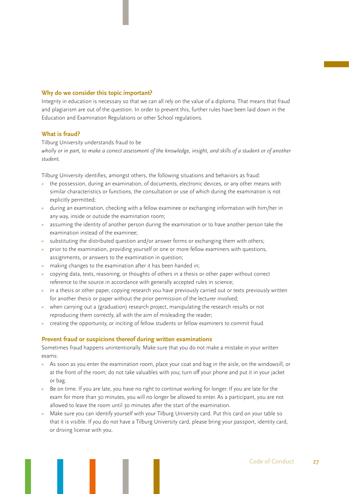## **Why do we consider this topic important?**

Integrity in education is necessary so that we can all rely on the value of a diploma. That means that fraud and plagiarism are out of the question. In order to prevent this, further rules have been laid down in the Education and Examination Regulations or other School regulations.

## **What is fraud?**

#### Tilburg University understands fraud to be

*wholly or in part, to make a correct assessment of the knowledge, insight, and skills of a student or of another student.*

Tilburg University identifies, amongst others, the following situations and behaviors as fraud:

- **•** the possession, during an examination, of documents, electronic devices, or any other means with similar characteristics or functions, the consultation or use of which during the examination is not explicitly permitted;
- **•** during an examination, checking with a fellow examinee or exchanging information with him/her in any way, inside or outside the examination room;
- **•** assuming the identity of another person during the examination or to have another person take the examination instead of the examinee;
- **•** substituting the distributed question and/or answer forms or exchanging them with others;
- **•** prior to the examination, providing yourself or one or more fellow examiners with questions, assignments, or answers to the examination in question;
- **•** making changes to the examination after it has been handed in;
- **•** copying data, texts, reasoning, or thoughts of others in a thesis or other paper without correct reference to the source in accordance with generally accepted rules in science;
- **•** in a thesis or other paper, copying research you have previously carried out or texts previously written for another thesis or paper without the prior permission of the lecturer involved;
- when carrying out a (graduation) research project, manipulating the research results or not reproducing them correctly, all with the aim of misleading the reader;
- **•** creating the opportunity, or inciting of fellow students or fellow examiners to commit fraud.

#### **Prevent fraud or suspicions thereof during written examinations**

Sometimes fraud happens unintentionally. Make sure that you do not make a mistake in your written exams:

- **•** As soon as you enter the examination room, place your coat and bag in the aisle, on the windowsill, or at the front of the room; do not take valuables with you; turn off your phone and put it in your jacket or bag.
- **•** Be on time. If you are late, you have no right to continue working for longer. If you are late for the exam for more than 30 minutes, you will no longer be allowed to enter. As a participant, you are not allowed to leave the room until 30 minutes after the start of the examination.
- **•** Make sure you can identify yourself with your Tilburg University card. Put this card on your table so that it is visible. If you do not have a Tilburg University card, please bring your passport, identity card, or driving license with you.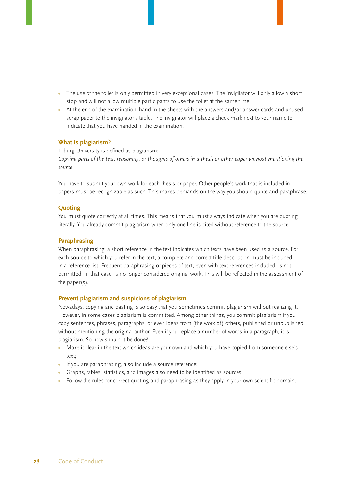- The use of the toilet is only permitted in very exceptional cases. The invigilator will only allow a short stop and will not allow multiple participants to use the toilet at the same time.
- At the end of the examination, hand in the sheets with the answers and/or answer cards and unused • At the end of the examination, hand in the sheets with the answers and/or answer cards and unused<br>scrap paper to the invigilator's table. The invigilator will place a check mark next to your name to indicate that you have handed in the examination. The state was waarin bestaat waarin bestaat waarin bestaat w

## **What is plagiarism?**

Tilburg University is defined as plagiarism: Copying parts of the text, reasoning, or thoughts of others in a thesis or other paper without mentioning the uit werking van medewerking van medewerkers, studenten van medewerkers, studenten en gasten onderstaande zeven *source.*

papers must be recognizable as such. This makes demands on the way you should quote and paraphrase. You have to submit your own work for each thesis or paper. Other people's work that is included in

### 3. Gebruik van bedrijfsmiddelen **Quoting**

You must quote correctly at all times. This means that you must always indicate when you are quoting literally. You already commit plagiarism when only one line is cited without reference to the source.

## 7. Verantwoordelijkheid en openheid **Paraphrasing**

each source to which you refer in the text, a complete and correct title description must be included in a reference list. Frequent paraphrasing of pieces of text, even with text references included, is not permitted. In that case, is no longer considered original work. This will be reflected in the assessment of the paper(s).  $\blacksquare$ When paraphrasing, a short reference in the text indicates which texts have been used as a source. For

## **Prevent plagiarism and suspicions of plagiarism**

Nowadays, copying and pasting is so easy that you sometimes commit plagiarism without realizing it. However, in some cases plagiarism is committed. Among other things, you commit plagiarism if you copy sentences, phrases, paragraphs, or even ideas from (the work of) others, published or unpublished, without mentioning the original author. Even if you replace a number of words in a paragraph, it is plagiarism. So how should it be done?

- **•** Make it clear in the text which ideas are your own and which you have copied from someone else's text;
- **•** If you are paraphrasing, also include a source reference;
- **•** Graphs, tables, statistics, and images also need to be identified as sources;
- **•** Follow the rules for correct quoting and paraphrasing as they apply in your own scientific domain.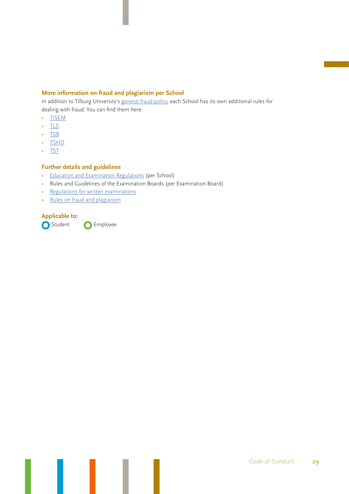# **More information on fraud and plagiarism per School**

In addition to Tilburg University's [general fraud policy](https://www.tilburguniversity.edu/students/studying/regulations/fraud), each School has its own additional rules for dealing with fraud. You can find them here:

- **•** [TISEM](https://www.tilburguniversity.edu/students/studying/regulations/fraud/economics)
- **•** [TLS](https://www.tilburguniversity.edu/students/studying/regulations/fraud/law)
- **•** [TSB](https://www.tilburguniversity.edu/students/studying/regulations/fraud/social-sciences
)
- **•** [TSHD](https://www.tilburguniversity.edu/students/studying/regulations/fraud/humanities-and-digital-sciences)
- **•** [TST](https://www.tilburguniversity.edu/students/studying/regulations/fraud/tst
)

## **Further details and guidelines**

- **•** [Education and Examination Regulations](https://www.tilburguniversity.edu/intranet/legal-affairs/eer
) (per School)
- **•** Rules and Guidelines of the Examination Boards (per Examination Board)
- **•** [Regulations for written examinations](https://www.tilburguniversity.edu/students/studying/lectures/exams/written-exams/regulations-written-examinations)
- [Rules on fraud and plagiarism](https://www.tilburguniversity.edu/students/studying/regulations/fraud)

# **Applicable to:**

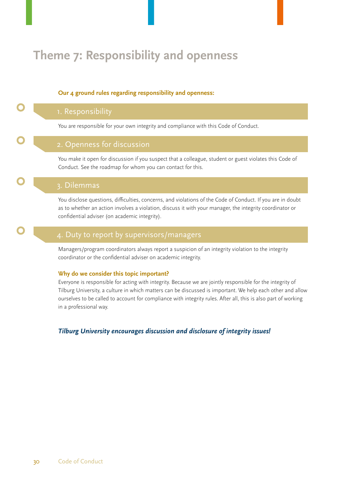# <span id="page-29-0"></span>**Theme 7: Responsibility and openness**

## **Our 4 ground rules regarding responsibility and openness:**

## medewerkers, studenten en gasten) verantwoordelijk voor de integriteit van Tilburg University. De regels 1. Responsibility in deze Gedragscode zijn bedoeld om het fatsoen binnen de organisatie te borgen. Ze helpen je bij jouw

You are responsible for your own integrity and compliance with this Code of Conduct.

Elk thema kent een aantal spelregels en geeft een toelichting op mogelijke dilemma's.

Iedereen is zelf verantwoordelijk om integer te handelen. Met elkaar zijn wij (als organisatie,

### **Zeven thema's over goed gedrag en omgangsvormen** 2. Openness for discussion

5. Goede onderzoekspraktijken

You make it open for discussion if you suspect that a colleague, student or guest violates this Code of Conduct. See the roadmap for whom you can contact for this.

we elkaar helpen en elkaar aanspreken op het naleven van normen en waarden omtrent integriteit.

### 1. Omgangsvormen 3. Dilemmas

You disclose questions, difficulties, concerns, and violations of the Code of Conduct. If you are in doubt as to whether an action involves a violation, discuss it with your manager, the integrity coordinator or confidential adviser (on academic integrity).

## 4. Duty to report by supervisors/managers 7. Verantwoordelijkheid en openheid

coordinator or the confidential adviser on academic integrity. Managers/program coordinators always report a suspicion of an integrity violation to the integrity

#### Why do we consider this topic important? **Why do we consider this topic important?**

Everyone is responsible for acting with integrity. Because we are jointly responsible for the integrity of Tilburg University, a culture in which matters can be discussed is important. We help each other and allow ourselves to be called to account for compliance with integrity rules. After all, this is also part of working in a professional way.

*Tilburg University encourages discussion and disclosure of integrity issues!*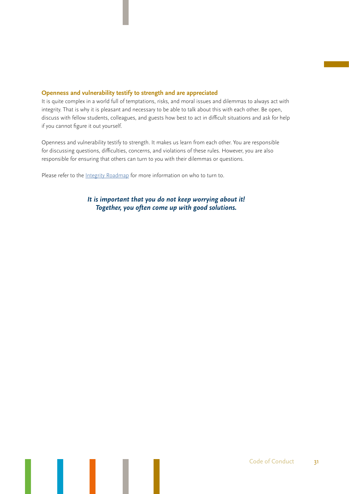## **Openness and vulnerability testify to strength and are appreciated**

It is quite complex in a world full of temptations, risks, and moral issues and dilemmas to always act with integrity. That is why it is pleasant and necessary to be able to talk about this with each other. Be open, discuss with fellow students, colleagues, and guests how best to act in difficult situations and ask for help if you cannot figure it out yourself.

Openness and vulnerability testify to strength. It makes us learn from each other. You are responsible for discussing questions, difficulties, concerns, and violations of these rules. However, you are also responsible for ensuring that others can turn to you with their dilemmas or questions.

Please refer to the *Integrity Roadmap* for more information on who to turn to.

*It is important that you do not keep worrying about it! Together, you often come up with good solutions.*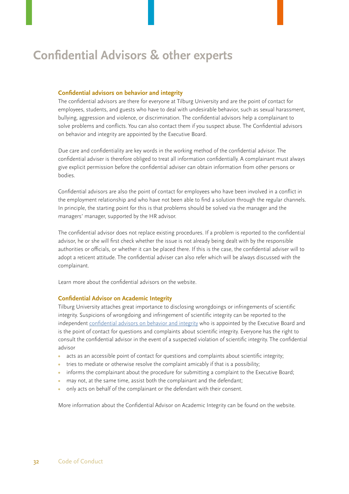# <span id="page-31-0"></span>**Confidential Advisors & other experts**

### **Doel van Code Goed Gedrag en Omgangsvormen Confidential advisors on behavior and integrity**

The confidential advisors are there for everyone at Tilburg University and are the point of contact for employees, students, and guests who have to deal with undesirable behavior, such as sexual harassment, bullying, aggression and violence, or discrimination. The confidential advisors help a complainant to solve problems and conflicts. You can also contact them if you suspect abuse. The Confidential advisors on behavior and integrity are appointed by the Executive Board.

Due care and confidentiality are key words in the working method of the confidential advisor. The confidential adviser is therefore obliged to treat all information confidentially. A complainant must always give explicit permission before the confidential adviser can obtain information from other persons or Elk thema kent een aantal spelregels en geeft een toelichting op mogelijke dilemma's. bodies.

Confidential advisors are also the point of contact for employees who have been involved in a conflict in the employment relationship and who have not been able to find a solution through the regular channels. In principle, the starting point for this is that problems should be solved via the manager and the managers' manager, supported by the HR advisor.

The confidential advisor does not replace existing procedures. If a problem is reported to the confidential advisor, he or she will first check whether the issue is not already being dealt with by the responsible adopt a reticent attitude. The confidential adviser can also refer which will be always discussed with the Deze Gedragscode is van toepassing op alle medewerkers, studenten en gasten van Tilburg University en complainant. authorities or officials, or whether it can be placed there. If this is the case, the confidential adviser will to

Learn more about the confidential advisors on the website.

#### **Confidential Advisor on Academic Integrity**

Tilburg University attaches great importance to disclosing wrongdoings or infringements of scientific integrity. Suspicions of wrongdoing and infringement of scientific integrity can be reported to the independent c[onfidential advisors on behavior and integrity](https://www.tilburguniversity.edu/about/conduct-and-integrity/confidential-advisor) who is appointed by the Executive Board and is the point of contact for questions and complaints about scientific integrity. Everyone has the right to consult the confidential advisor in the event of a suspected violation of scientific integrity. The confidential advisor

- **•** acts as an accessible point of contact for questions and complaints about scientific integrity;
- **•** tries to mediate or otherwise resolve the complaint amicably if that is a possibility;
- **•** informs the complainant about the procedure for submitting a complaint to the Executive Board;
- **•** may not, at the same time, assist both the complainant and the defendant;
- **•** only acts on behalf of the complainant or the defendant with their consent.

More information about the Confidential Advisor on Academic Integrity can be found on the website.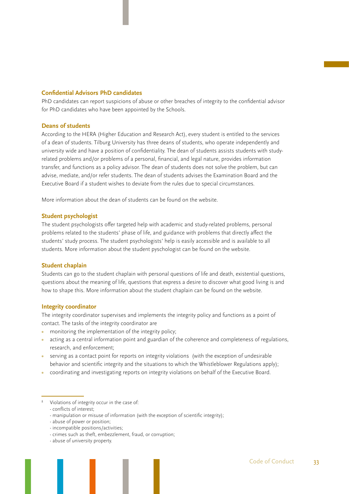## **Confidential Advisors PhD candidates**

PhD candidates can report suspicions of abuse or other breaches of integrity to the confidential advisor for PhD candidates who have been appointed by the Schools.

# **Deans of students**

According to the HERA (Higher Education and Research Act), every student is entitled to the services of a dean of students. Tilburg University has three deans of students, who operate independently and university wide and have a position of confidentiality. The dean of students assists students with studyrelated problems and/or problems of a personal, financial, and legal nature, provides information transfer, and functions as a policy advisor. The dean of students does not solve the problem, but can advise, mediate, and/or refer students. The dean of students advises the Examination Board and the Executive Board if a student wishes to deviate from the rules due to special circumstances.

More information about the dean of students can be found on the website.

## **Student psychologist**

The student psychologists offer targeted help with academic and study-related problems, personal problems related to the students' phase of life, and guidance with problems that directly affect the students' study process. The student psychologists' help is easily accessible and is available to all students. More information about the student pyschologist can be found on the website.

#### **Student chaplain**

Students can go to the student chaplain with personal questions of life and death, existential questions, questions about the meaning of life, questions that express a desire to discover what good living is and how to shape this. More information about the student chaplain can be found on the website.

#### **Integrity coordinator**

The integrity coordinator supervises and implements the integrity policy and functions as a point of contact. The tasks of the integrity coordinator are

- **•** monitoring the implementation of the integrity policy;
- **•** acting as a central information point and guardian of the coherence and completeness of regulations, research, and enforcement;
- **•** serving as a contact point for reports on integrity violations (with the exception of undesirable behavior and scientific integrity and the situations to which the Whistleblower Regulations apply);
- coordinating and investigating reports on integrity violations on behalf of the Executive Board.
- 8 Violations of integrity occur in the case of: - conflicts of interest;
	- manipulation or misuse of information (with the exception of scientific integrity);

- incompatible positions/activities;
- crimes such as theft, embezzlement, fraud, or corruption;
- abuse of university property.

<sup>-</sup> abuse of power or position;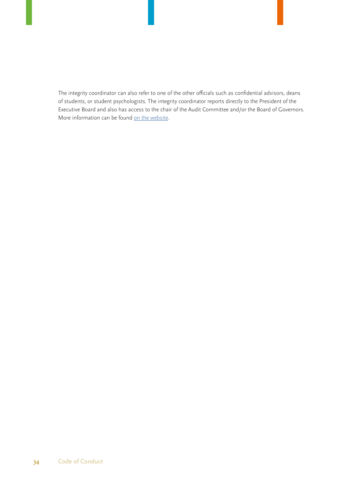The integrity coordinator can also refer to one of the other officials such as confidential advisors, deans of students, or student psychologists. The integrity coordinator reports directly to the President of the Executive Board and also has access to the chair of the Audit Committee and/or the Board of Governors. More information can be found <u>on the website</u>.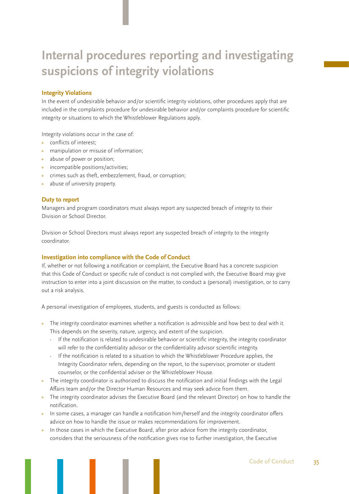# <span id="page-34-0"></span>**Internal procedures reporting and investigating suspicions of integrity violations**

# **Integrity Violations**

In the event of undesirable behavior and/or scientific integrity violations, other procedures apply that are included in the complaints procedure for undesirable behavior and/or complaints procedure for scientific integrity or situations to which the Whistleblower Regulations apply.

Integrity violations occur in the case of:

- **•** conflicts of interest;
- **•** manipulation or misuse of information;
- **•** abuse of power or position;
- **•** incompatible positions/activities;
- **•** crimes such as theft, embezzlement, fraud, or corruption;
- **•** abuse of university property.

## **Duty to report**

Managers and program coordinators must always report any suspected breach of integrity to their Division or School Director.

Division or School Directors must always report any suspected breach of integrity to the integrity coordinator.

## **Investigation into compliance with the Code of Conduct**

If, whether or not following a notification or complaint, the Executive Board has a concrete suspicion that this Code of Conduct or specific rule of conduct is not complied with, the Executive Board may give instruction to enter into a joint discussion on the matter, to conduct a (personal) investigation, or to carry out a risk analysis.

A personal investigation of employees, students, and guests is conducted as follows:

- **•** The integrity coordinator examines whether a notification is admissible and how best to deal with it. This depends on the severity, nature, urgency, and extent of the suspicion.
	- If the notification is related to undesirable behavior or scientific integrity, the integrity coordinator will refer to the confidentiality advisor or the confidentiality advisor scientific integrity.
	- If the notification is related to a situation to which the Whistleblower Procedure applies, the Integrity Coordinator refers, depending on the report, to the supervisor, promoter or student counselor, or the confidential adviser or the Whistleblower House.
- The integrity coordinator is authorized to discuss the notification and initial findings with the Legal Affairs team and/or the Director Human Resources and may seek advice from them.
- **•** The integrity coordinator advises the Executive Board (and the relevant Director) on how to handle the notification.
- **•** In some cases, a manager can handle a notification him/herself and the integrity coordinator offers advice on how to handle the issue or makes recommendations for improvement.
- **•** In those cases in which the Executive Board, after prior advice from the integrity coordinator, considers that the seriousness of the notification gives rise to further investigation, the Executive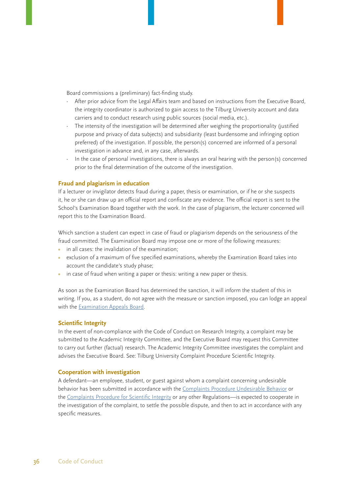Board commissions a (preliminary) fact-finding study.

- After prior advice from the Legal Affairs team and based on instructions from the Executive Board, the integrity coordinator is authorized to gain access to the Tilburg University account and data carriers and to conduct research using public sources (social media, etc.).
- The intensity of the investigation will be determined after weighing the proportionality (justified purpose and privacy of data subjects) and subsidiarity (least burdensome and infringing option **Zeven thema's over goed gedrag en omgangsvormen** investigation in advance and, in any case, afterwards. preferred) of the investigation. If possible, the person(s) concerned are informed of a personal
- In the case of personal investigations, there is always an oral hearing with the person(s) concerned prior to the final determination of the outcome of the investigation.

## **Fraud and plagiarism in education**

If a lecturer or invigilator detects fraud during a paper, thesis or examination, or if he or she suspects it, he or she can draw up an official report and confiscate any evidence. The official report is sent to the School's Examination Board together with the work. In the case of plagiarism, the lecturer concerned will report this to the Examination Board.

Which sanction a student can expect in case of fraud or plagiarism depends on the seriousness of the fraud committed. The Examination Board may impose one or more of the following measures:

- **•** in all cases: the invalidation of the examination;
- exclusion of a maximum of five specified examinations, whereby the Examination Board takes into account the candidate's study phase; studenten en gasten van Tilburg University en gasten van Tilburg University en gasten van Tilburg University en gasten van Tilburg University en gasten van Tilburg University en gasten
- in case of fraud when writing a paper or thesis: writing a new paper or thesis.

As soon as the Examination Board has determined the sanction, it will inform the student of this in writing. If you, as a student, do not agree with the measure or sanction imposed, you can lodge an appeal with the [Examination Appeals Board](https://www.tilburguniversity.edu/students/studying/regulations/complaint-appeal/eab).

#### **Scientific Integrity**

In the event of non-compliance with the Code of Conduct on Research Integrity, a complaint may be submitted to the Academic Integrity Committee, and the Executive Board may request this Committee to carry out further (factual) research. The Academic Integrity Committee investigates the complaint and advises the Executive Board. See: Tilburg University Complaint Procedure Scientific Integrity.

#### **Cooperation with investigation**

A defendant—an employee, student, or guest against whom a complaint concerning undesirable behavior has been submitted in accordance with the [Complaints Procedure Undesirable Behavior](https://www.tilburguniversity.edu/students/studying/regulations/complaint-appeal/eab) or the [Complaints Procedure for Scientific Integrity](https://www.tilburguniversity.edu/sites/tiu/files/download/Regeling Wetenschappelijke Integriteit Tilburg University.pdf) or any other Regulations—is expected to cooperate in the investigation of the complaint, to settle the possible dispute, and then to act in accordance with any specific measures.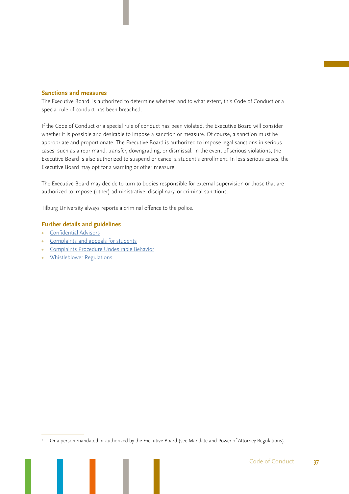### **Sanctions and measures**

The Executive Board is authorized to determine whether, and to what extent, this Code of Conduct or a special rule of conduct has been breached.

If the Code of Conduct or a special rule of conduct has been violated, the Executive Board will consider whether it is possible and desirable to impose a sanction or measure. Of course, a sanction must be appropriate and proportionate. The Executive Board is authorized to impose legal sanctions in serious cases, such as a reprimand, transfer, downgrading, or dismissal. In the event of serious violations, the Executive Board is also authorized to suspend or cancel a student's enrollment. In less serious cases, the Executive Board may opt for a warning or other measure.

The Executive Board may decide to turn to bodies responsible for external supervision or those that are authorized to impose (other) administrative, disciplinary, or criminal sanctions.

Tilburg University always reports a criminal offence to the police.

## **Further details and guidelines**

- **•** [Confidential Advisors](https://www.tilburguniversity.edu/about/conduct-and-integrity/confidential-advisor)
- **•** C[omplaints and appeals for students](https://www.tilburguniversity.edu/students/studying/regulations/complaint-appeal)
- **•** [Complaints Procedure Undesirable Behavior](https://www.tilburguniversity.edu/students/studying/regulations/complaint-appeal/behavior)
- **•** [Whistleblower Regulations](https://www.tilburguniversity.edu/sites/tiu/files/download/UK Klokkenluidersregeling %2801-07-2014%29_2.pdf)

<sup>9</sup> Or a person mandated or authorized by the Executive Board (see Mandate and Power of Attorney Regulations).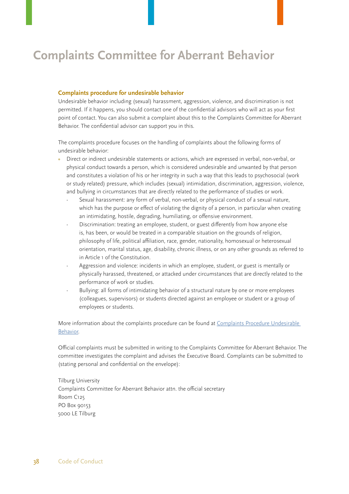# <span id="page-37-0"></span>**Complaints Committee for Aberrant Behavior**

## **Complaints procedure for undesirable behavior**

Undesirable behavior including (sexual) harassment, aggression, violence, and discrimination is not permitted. If it happens, you should contact one of the confidential advisors who will act as your first point of contact. You can also submit a complaint about this to the Complaints Committee for Aberrant Behavior. The confidential advisor can support you in this.

**Zeven thema's over goed gedrag en omgangsvormen** undesirable behavior: The complaints procedure focuses on the handling of complaints about the following forms of

- Direct or indirect undesirable statements or actions, which are expressed in verbal, non-verbal, or physical conduct towards a person, which is considered undesirable and unwanted by that person and constitutes a violation of his or her integrity in such a way that this leads to psychosocial (work and bullying in circumstances that are directly related to the performance of studies or work. or study related) pressure, which includes (sexual) intimidation, discrimination, aggression, violence,
- 2. Onafhankelijkheid Sexual harassment: any form of verbal, non-verbal, or physical conduct of a sexual nature, which has the purpose or effect of violating the dignity of a person, in particular when creating an intimidating, hostile, degrading, humiliating, or offensive environment.
- Discrimination: treating an employee, student, or guest differently from how anyone else is, has been, or would be treated in a comparable situation on the grounds of religion, philosophy of life, political affiliation, race, gender, nationality, homosexual or heterosexual **Toepassingsbereik** in Article 1 of the Constitution. orientation, marital status, age, disability, chronic illness, or on any other grounds as referred to
- Aggression and violence: incidents in which an employee, student, or guest is mentally or physically harassed, threatened, or attacked under circumstances that are directly related to the performance of work or studies.
	- Bullying: all forms of intimidating behavior of a structural nature by one or more employees (colleagues, supervisors) or students directed against an employee or student or a group of employees or students.

More information about the complaints procedure can be found at Complaints Procedure Undesirable [Behavior](https://www.tilburguniversity.edu/students/studying/regulations/complaint-appeal/behavior).

Official complaints must be submitted in writing to the Complaints Committee for Aberrant Behavior. The committee investigates the complaint and advises the Executive Board. Complaints can be submitted to (stating personal and confidential on the envelope):

Tilburg University Complaints Committee for Aberrant Behavior attn. the official secretary Room C125 PO Box 90153 5000 LE Tilburg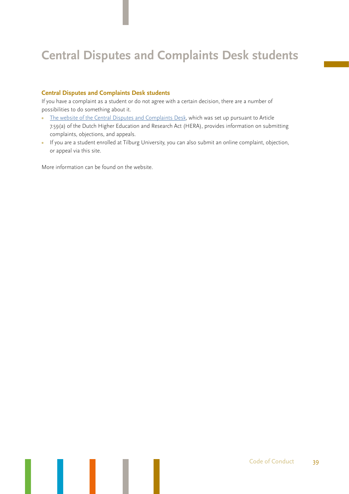# <span id="page-38-0"></span>**Central Disputes and Complaints Desk students**

## **Central Disputes and Complaints Desk students**

If you have a complaint as a student or do not agree with a certain decision, there are a number of possibilities to do something about it.

- [The website of the Central Disputes and Complaints Desk](https://www.tilburguniversity.edu/students/studying/regulations/complaint-appeal/ccd), which was set up pursuant to Article 7.59(a) of the Dutch Higher Education and Research Act (HERA), provides information on submitting complaints, objections, and appeals.
- **•** If you are a student enrolled at Tilburg University, you can also submit an online complaint, objection, or appeal via this site.

More information can be found on the website.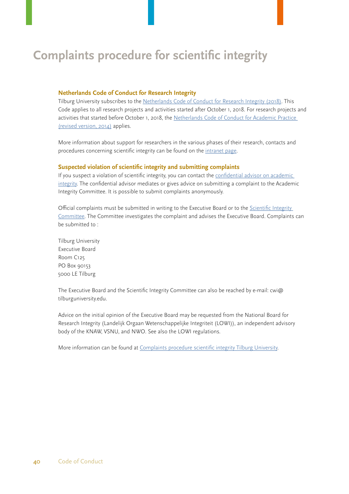# <span id="page-39-0"></span>**Complaints procedure for scientific integrity**

### **Netherlands Code of Conduct for Research Integrity**

Tilburg University subscribes to the [Netherlands Code of Conduct for Research Integrity \(2018\).](https://www.vsnu.nl/files/documents/Netherlands Code of Conduct for Research Integrity 2018.pdf) This Code applies to all research projects and activities started after October 1, 2018. For research projects and activities that started before October 1, 2018, the <u>Netherlands Code of Conduct for Academic Practice.</u> [keuzes in gedrag en om](http://www.vsnu.nl/files/documenten/Domeinen/Onderzoek/The_Netherlands_Code of_Conduct_for_Academic_Practice_2004_(version2014).pdf)gang. Het is belangrijk dat er binnen Tilburg University een cultuur bestaat waarin (revised version, 2014) applies.

procedures concerning scientific integrity can be found on the *intranet page*. More information about support for researchers in the various phases of their research, contacts and

## Suspected violation of scientific integrity and submitting complaints<sup>.</sup> Suspected violation of scientific integr

If you suspect a violation of scientific integrity, you can contact the confidential advisor on academic Integrity Committee. It is possible to submit complaints anonymously. [integrity.](https://www.tilburguniversity.edu/about/conduct-and-integrity/confidential-advisor) The confidential advisor mediates or gives advice on submitting a complaint to the Academic

Official complaints must be submitted in writing to the Executive Board or to the Scientific Integrity [Committee](https://www.tilburguniversity.edu/about/conduct-and-integrity). The Committee investigates the complaint and advises the Executive Board. Complaints can be submitted to :

Tilburg University **Toepassingsbereik** Room C125 Deze Gedragscode is van toepassing op alle medewerkers, studenten en gasten van Tilburg University en PO Box 90153 op situaties die verband hebben met werk of studie en/of activiteiten die plaatsvinden op de campus. 5000 LE Tilburg Executive Board

The Executive Board and the Scientific Integrity Committee can also be reached by e-mail: cwi@ tilburguniversity.edu.

Advice on the initial opinion of the Executive Board may be requested from the National Board for Research Integrity (Landelijk Orgaan Wetenschappelijke Integriteit (LOWI)), an independent advisory body of the KNAW, VSNU, and NWO. See also the LOWI regulations.

More information can be found at Complaints procedure scientific integrity Tilburg University.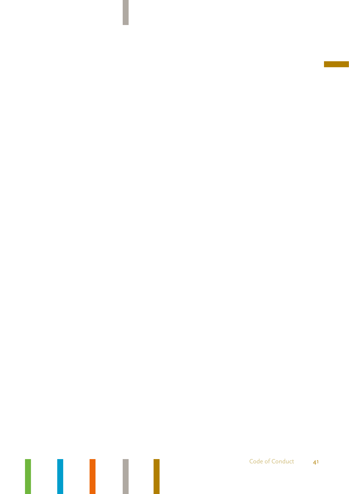

. . . .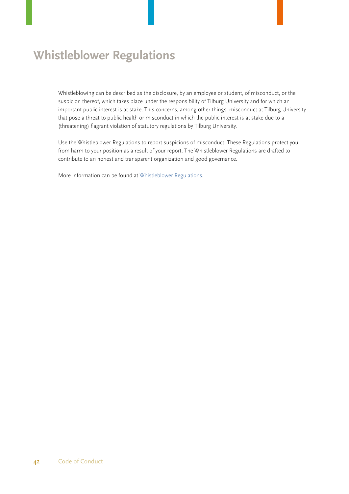# <span id="page-41-0"></span>**Whistleblower Regulations**

Whistleblowing can be described as the disclosure, by an employee or student, of misconduct, or the suspicion thereof, which takes place under the responsibility of Tilburg University and for which an important public interest is at stake. This concerns, among other things, misconduct at Tilburg University that pose a threat to public health or misconduct in which the public interest is at stake due to a (threatening) flagrant violation of statutory regulations by Tilburg University.

from harm to your position as a result of your report. The Whistleblower Regulations are drafted to contribute to an honest and transparent organization and good governance. Use the Whistleblower Regulations to report suspicions of misconduct. These Regulations protect you

More information can be found at <u>Whistleblower Regulations</u>.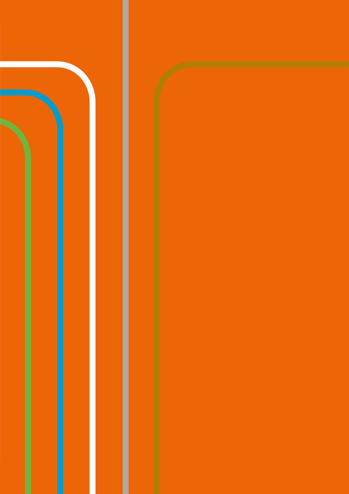